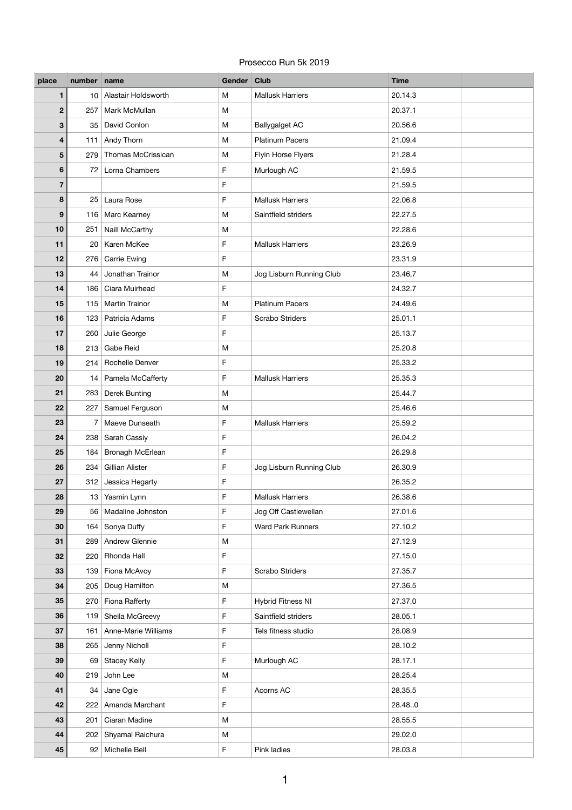## Prosecco Run 5k 2019

| place           | number name |                           | Gender Club  |                          | <b>Time</b> |
|-----------------|-------------|---------------------------|--------------|--------------------------|-------------|
| $\mathbf 1$     |             | 10 Alastair Holdsworth    | M            | <b>Mallusk Harriers</b>  | 20.14.3     |
| $\mathbf 2$     | 257         | Mark McMullan             | M            |                          | 20.37.1     |
| $\mathbf{3}$    | 35          | David Conlon              | M            | <b>Ballygalget AC</b>    | 20.56.6     |
| 4               | $111$       | Andy Thorn                | M            | <b>Platinum Pacers</b>   | 21.09.4     |
| 5               |             | 279 Thomas McCrissican    | M            | Flyin Horse Flyers       | 21.28.4     |
| $6\phantom{1}6$ | 72          | Lorna Chambers            | $\mathsf F$  | Murlough AC              | 21.59.5     |
| $\overline{7}$  |             |                           | $\mathsf F$  |                          | 21.59.5     |
| 8               |             | 25 Laura Rose             | F            | <b>Mallusk Harriers</b>  | 22.06.8     |
| 9               |             | 116   Marc Kearney        | M            | Saintfield striders      | 22.27.5     |
| 10              | 251         | Naill McCarthy            | M            |                          | 22.28.6     |
| 11              | 20          | Karen McKee               | $\mathsf{F}$ | <b>Mallusk Harriers</b>  | 23.26.9     |
| 12              | 276         | <b>Carrie Ewing</b>       | $\mathsf F$  |                          | 23.31.9     |
| 13              |             | 44 Jonathan Trainor       | M            | Jog Lisburn Running Club | 23.46,7     |
| 14              |             | 186   Ciara Muirhead      | $\mathsf{F}$ |                          | 24.32.7     |
| 15              | 115         | <b>Martin Trainor</b>     | M            | <b>Platinum Pacers</b>   | 24.49.6     |
| 16              |             | 123 Patricia Adams        | F            | <b>Scrabo Striders</b>   | 25.01.1     |
| 17              | 260         | Julie George              | $\mathsf{F}$ |                          | 25.13.7     |
| 18              | 213         | <b>Gabe Reid</b>          | M            |                          | 25.20.8     |
| 19              |             | 214   Rochelle Denver     | F            |                          | 25.33.2     |
| 20              |             | 14   Pamela McCafferty    | F            | <b>Mallusk Harriers</b>  | 25.35.3     |
| 21              |             | 283 Derek Bunting         | M            |                          | 25.44.7     |
| 22              | 227         | Samuel Ferguson           | M            |                          | 25.46.6     |
| 23              | 7           | Maeve Dunseath            | $\mathsf F$  | <b>Mallusk Harriers</b>  | 25.59.2     |
| 24              |             | 238 Sarah Cassiy          | $\mathsf F$  |                          | 26.04.2     |
| 25              | 184         | <b>Bronagh McErlean</b>   | $\mathsf F$  |                          | 26.29.8     |
| 26              |             | 234 Gillian Alister       | $\mathsf F$  | Jog Lisburn Running Club | 26.30.9     |
| 27              |             | 312 Jessica Hegarty       | F            |                          | 26.35.2     |
| 28              |             | 13 Yasmin Lynn            | $\mathsf F$  | <b>Mallusk Harriers</b>  | 26.38.6     |
| 29              |             | 56   Madaline Johnston    | $\mathsf F$  | Jog Off Castlewellan     | 27.01.6     |
| 30              |             | 164 Sonya Duffy           | F            | <b>Ward Park Runners</b> | 27.10.2     |
| 31              |             | 289 Andrew Glennie        | ${\sf M}$    |                          | 27.12.9     |
| 32              | 220         | Rhonda Hall               | $\mathsf F$  |                          | 27.15.0     |
| 33              |             | 139 Fiona McAvoy          | F            | <b>Scrabo Striders</b>   | 27.35.7     |
| 34              | 205         | Doug Hamilton             | ${\sf M}$    |                          | 27.36.5     |
| 35              |             | 270 Fiona Rafferty        | $\mathsf F$  | <b>Hybrid Fitness NI</b> | 27.37.0     |
| 36              |             | 119 Sheila McGreevy       | $\mathsf F$  | Saintfield striders      | 28.05.1     |
| 37              |             | 161   Anne-Marie Williams | $\mathsf F$  | Tels fitness studio      | 28.08.9     |
| 38              |             | 265 Jenny Nicholl         | $\mathsf F$  |                          | 28.10.2     |
| 39              |             | 69 Stacey Kelly           | $\mathsf F$  | Murlough AC              | 28.17.1     |
| 40              |             | 219 John Lee              | M            |                          | 28.25.4     |
| 41              | 34          | Jane Ogle                 | $\mathsf F$  | Acorns AC                | 28.35.5     |
| 42              |             | 222 Amanda Marchant       | $\mathsf F$  |                          | 28.48.0     |
| 43              |             | 201 Ciaran Madine         | M            |                          | 28.55.5     |
| 44              |             | 202   Shyamal Raichura    | M            |                          | 29.02.0     |
| 45              |             | 92 Michelle Bell          | $\mathsf F$  | Pink ladies              | 28.03.8     |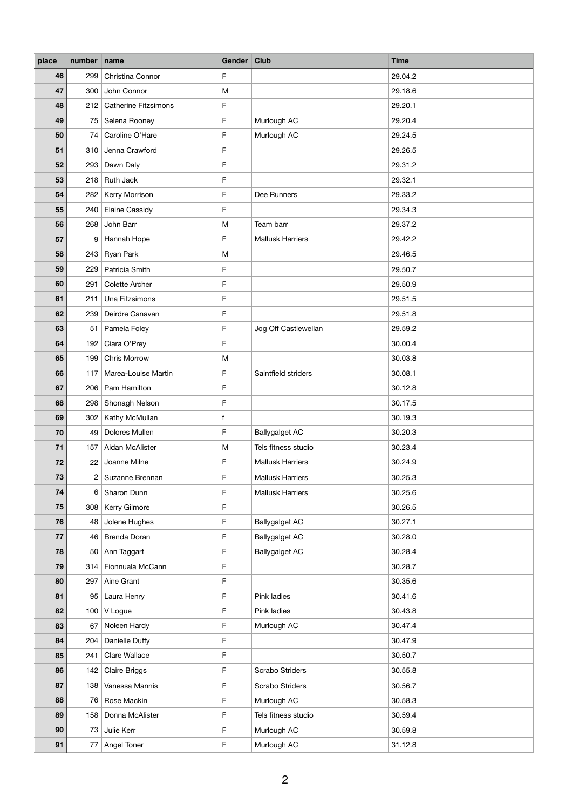| place | number name    |                             | Gender Club |                         | <b>Time</b> |
|-------|----------------|-----------------------------|-------------|-------------------------|-------------|
| 46    | 299            | Christina Connor            | $\mathsf F$ |                         | 29.04.2     |
| 47    |                | 300 John Connor             | M           |                         | 29.18.6     |
| 48    | 212            | <b>Catherine Fitzsimons</b> | $\mathsf F$ |                         | 29.20.1     |
| 49    | 75             | Selena Rooney               | $\mathsf F$ | Murlough AC             | 29.20.4     |
| 50    | 74             | Caroline O'Hare             | $\mathsf F$ | Murlough AC             | 29.24.5     |
| 51    |                | 310 Jenna Crawford          | $\mathsf F$ |                         | 29.26.5     |
| 52    | 293            | Dawn Daly                   | $\mathsf F$ |                         | 29.31.2     |
| 53    |                | 218 Ruth Jack               | $\mathsf F$ |                         | 29.32.1     |
| 54    | 282            | Kerry Morrison              | $\mathsf F$ | Dee Runners             | 29.33.2     |
| 55    | 240            | <b>Elaine Cassidy</b>       | $\mathsf F$ |                         | 29.34.3     |
| 56    | 268            | John Barr                   | M           | Team barr               | 29.37.2     |
| 57    | 9              | Hannah Hope                 | F           | <b>Mallusk Harriers</b> | 29.42.2     |
| 58    | 243            | Ryan Park                   | M           |                         | 29.46.5     |
| 59    | 229            | Patricia Smith              | $\mathsf F$ |                         | 29.50.7     |
| 60    | 291            | <b>Colette Archer</b>       | $\mathsf F$ |                         | 29.50.9     |
| 61    | 211            | Una Fitzsimons              | $\mathsf F$ |                         | 29.51.5     |
| 62    | 239            | Deirdre Canavan             | $\mathsf F$ |                         | 29.51.8     |
| 63    | 51             | Pamela Foley                | $\mathsf F$ | Jog Off Castlewellan    | 29.59.2     |
| 64    | 192            | Ciara O'Prey                | F           |                         | 30.00.4     |
| 65    | 199            | <b>Chris Morrow</b>         | M           |                         | 30.03.8     |
| 66    | 117            | Marea-Louise Martin         | F           | Saintfield striders     | 30.08.1     |
| 67    | 206            | Pam Hamilton                | F           |                         | 30.12.8     |
| 68    | 298            | Shonagh Nelson              | $\mathsf F$ |                         | 30.17.5     |
| 69    | 302            | Kathy McMullan              | f           |                         | 30.19.3     |
| 70    | 49             | Dolores Mullen              | $\mathsf F$ | <b>Ballygalget AC</b>   | 30.20.3     |
| $71$  | 157            | Aidan McAlister             | M           | Tels fitness studio     | 30.23.4     |
| 72    | 22             | Joanne Milne                | $\mathsf F$ | <b>Mallusk Harriers</b> | 30.24.9     |
| 73    | $\overline{2}$ | Suzanne Brennan             | $\mathsf F$ | <b>Mallusk Harriers</b> | 30.25.3     |
| 74    | 6              | Sharon Dunn                 | $\mathsf F$ | <b>Mallusk Harriers</b> | 30.25.6     |
| 75    | 308            | Kerry Gilmore               | F           |                         | 30.26.5     |
| 76    | 48             | Jolene Hughes               | $\mathsf F$ | <b>Ballygalget AC</b>   | 30.27.1     |
| 77    | 46             | <b>Brenda Doran</b>         | $\mathsf F$ | <b>Ballygalget AC</b>   | 30.28.0     |
| 78    | 50             | Ann Taggart                 | F           | <b>Ballygalget AC</b>   | 30.28.4     |
| 79    |                | 314 Fionnuala McCann        | $\mathsf F$ |                         | 30.28.7     |
| 80    | 297            | Aine Grant                  | $\mathsf F$ |                         | 30.35.6     |
| 81    | 95             | Laura Henry                 | F           | Pink ladies             | 30.41.6     |
| 82    |                | 100   V Logue               | $\mathsf F$ | Pink ladies             | 30.43.8     |
| 83    | 67             | Noleen Hardy                | $\mathsf F$ | Murlough AC             | 30.47.4     |
| 84    | 204            | Danielle Duffy              | $\mathsf F$ |                         | 30.47.9     |
| 85    | 241            | Clare Wallace               | $\mathsf F$ |                         | 30.50.7     |
| 86    | 142            | Claire Briggs               | $\mathsf F$ | <b>Scrabo Striders</b>  | 30.55.8     |
| 87    | 138            | Vanessa Mannis              | $\mathsf F$ | Scrabo Striders         | 30.56.7     |
| 88    |                | 76 Rose Mackin              | $\mathsf F$ | Murlough AC             | 30.58.3     |
| 89    |                | 158   Donna McAlister       | F           | Tels fitness studio     | 30.59.4     |
| 90    | 73             | Julie Kerr                  | $\mathsf F$ | Murlough AC             | 30.59.8     |
| 91    | 77             | Angel Toner                 | $\mathsf F$ | Murlough AC             | 31.12.8     |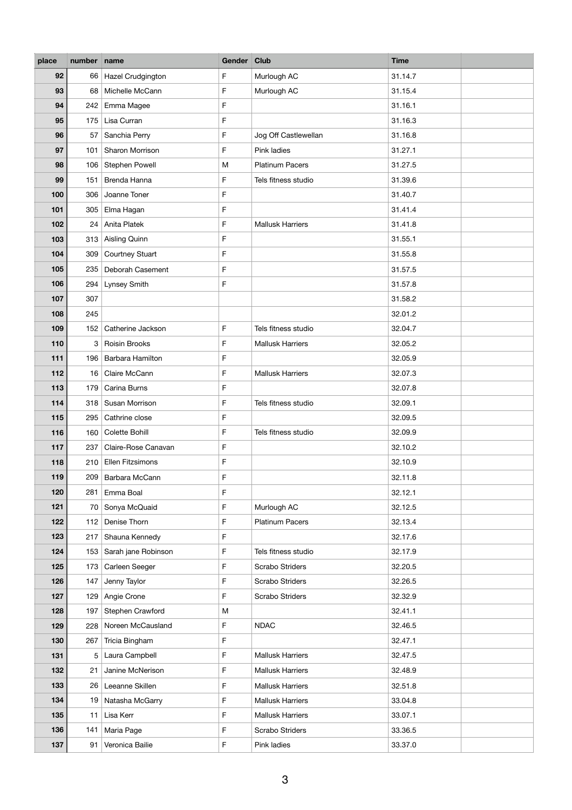| place | number name |                        | Gender Club  |                         | <b>Time</b> |
|-------|-------------|------------------------|--------------|-------------------------|-------------|
| 92    |             | 66 Hazel Crudgington   | $\mathsf F$  | Murlough AC             | 31.14.7     |
| 93    | 68          | Michelle McCann        | $\mathsf F$  | Murlough AC             | 31.15.4     |
| 94    |             | 242 Emma Magee         | $\mathsf F$  |                         | 31.16.1     |
| 95    | 175         | Lisa Curran            | $\mathsf F$  |                         | 31.16.3     |
| 96    | 57          | Sanchia Perry          | $\mathsf F$  | Jog Off Castlewellan    | 31.16.8     |
| 97    | 101         | Sharon Morrison        | $\mathsf{F}$ | Pink ladies             | 31.27.1     |
| 98    | 106         | <b>Stephen Powell</b>  | M            | <b>Platinum Pacers</b>  | 31.27.5     |
| 99    | 151         | Brenda Hanna           | $\mathsf F$  | Tels fitness studio     | 31.39.6     |
| 100   |             | 306 Joanne Toner       | $\mathsf F$  |                         | 31.40.7     |
| 101   | 305         | Elma Hagan             | $\mathsf F$  |                         | 31.41.4     |
| 102   | 24          | Anita Platek           | $\mathsf F$  | <b>Mallusk Harriers</b> | 31.41.8     |
| 103   | 313         | <b>Aisling Quinn</b>   | $\mathsf{F}$ |                         | 31.55.1     |
| 104   | 309         | <b>Courtney Stuart</b> | $\mathsf F$  |                         | 31.55.8     |
| 105   | 235         | Deborah Casement       | $\mathsf F$  |                         | 31.57.5     |
| 106   | 294         | Lynsey Smith           | $\mathsf F$  |                         | 31.57.8     |
| 107   | 307         |                        |              |                         | 31.58.2     |
| 108   | 245         |                        |              |                         | 32.01.2     |
| 109   |             | 152 Catherine Jackson  | $\mathsf F$  | Tels fitness studio     | 32.04.7     |
| 110   | 3           | Roisin Brooks          | F            | <b>Mallusk Harriers</b> | 32.05.2     |
| 111   |             | 196 Barbara Hamilton   | $\mathsf F$  |                         | 32.05.9     |
| 112   | 16          | Claire McCann          | $\mathsf F$  | <b>Mallusk Harriers</b> | 32.07.3     |
| 113   | 179         | Carina Burns           | F            |                         | 32.07.8     |
| 114   |             | 318   Susan Morrison   | $\mathsf{F}$ | Tels fitness studio     | 32.09.1     |
| 115   |             | 295 Cathrine close     | $\mathsf F$  |                         | 32.09.5     |
| 116   |             | 160 Colette Bohill     | F            | Tels fitness studio     | 32.09.9     |
| 117   | 237         | Claire-Rose Canavan    | $\mathsf F$  |                         | 32.10.2     |
| 118   |             | 210 Ellen Fitzsimons   | $\mathsf F$  |                         | 32.10.9     |
| 119   | 209         | Barbara McCann         | $\mathsf F$  |                         | 32.11.8     |
| 120   | 281         | Emma Boal              | $\mathsf F$  |                         | 32.12.1     |
| 121   | 70          | Sonya McQuaid          | F            | Murlough AC             | 32.12.5     |
| 122   | 112         | Denise Thorn           | $\mathsf F$  | <b>Platinum Pacers</b>  | 32.13.4     |
| 123   |             | 217 Shauna Kennedy     | F            |                         | 32.17.6     |
| 124   | 153         | Sarah jane Robinson    | $\mathsf F$  | Tels fitness studio     | 32.17.9     |
| 125   |             | 173 Carleen Seeger     | $\mathsf F$  | <b>Scrabo Striders</b>  | 32.20.5     |
| 126   | 147         | Jenny Taylor           | F            | <b>Scrabo Striders</b>  | 32.26.5     |
| 127   |             | 129 Angie Crone        | $\mathsf F$  | <b>Scrabo Striders</b>  | 32.32.9     |
| 128   | 197         | Stephen Crawford       | M            |                         | 32.41.1     |
| 129   |             | 228 Noreen McCausland  | $\mathsf{F}$ | <b>NDAC</b>             | 32.46.5     |
| 130   | 267         | Tricia Bingham         | $\mathsf F$  |                         | 32.47.1     |
| 131   | 5           | Laura Campbell         | $\mathsf F$  | <b>Mallusk Harriers</b> | 32.47.5     |
| 132   | 21          | Janine McNerison       | F            | <b>Mallusk Harriers</b> | 32.48.9     |
| 133   |             | 26 Leeanne Skillen     | $\mathsf F$  | <b>Mallusk Harriers</b> | 32.51.8     |
| 134   |             | 19 Natasha McGarry     | $\mathsf{F}$ | <b>Mallusk Harriers</b> | 33.04.8     |
| 135   |             | 11   Lisa Kerr         | F            | <b>Mallusk Harriers</b> | 33.07.1     |
| 136   | 141         | Maria Page             | $\mathsf F$  | Scrabo Striders         | 33.36.5     |
| 137   | 91          | Veronica Bailie        | $\mathsf F$  | Pink ladies             | 33.37.0     |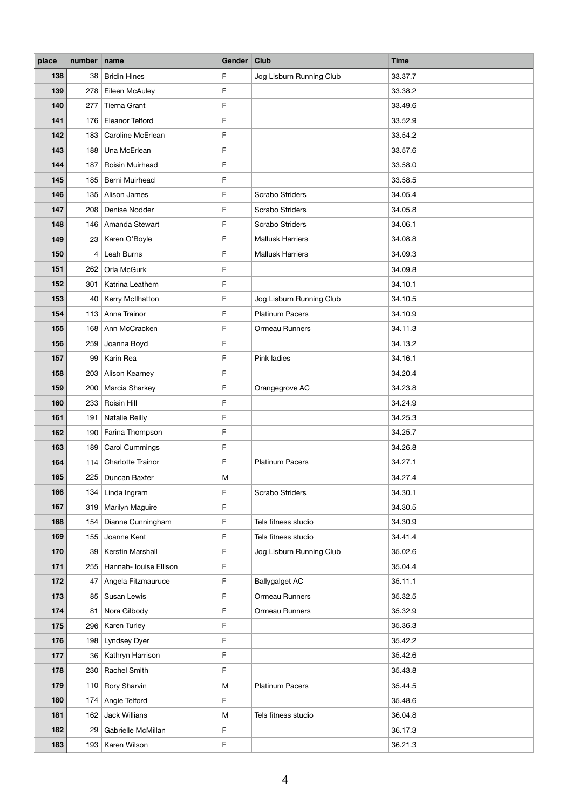| Gender Club<br><b>Time</b><br>number<br>place<br>name                                                |                    |
|------------------------------------------------------------------------------------------------------|--------------------|
| 138<br>$\mathsf F$<br><b>Bridin Hines</b><br>Jog Lisburn Running Club<br>38                          | 33.37.7            |
| $\mathsf F$<br>139<br>Eileen McAuley<br>278                                                          | 33.38.2            |
| 140<br>$\mathsf F$<br><b>Tierna Grant</b><br>277                                                     | 33.49.6            |
| $\mathsf F$<br>141<br><b>Eleanor Telford</b><br>176                                                  | 33.52.9            |
| $\mathsf F$<br>142<br>Caroline McErlean<br>183                                                       | 33.54.2            |
| $\mathsf F$<br>143<br>Una McErlean<br>188                                                            | 33.57.6            |
| $\mathsf F$<br>144<br>Roisin Muirhead<br>187                                                         | 33.58.0            |
| $\mathsf F$<br>145<br>Berni Muirhead<br>185                                                          | 33.58.5            |
| $\mathsf F$<br>146<br><b>Scrabo Striders</b><br>135   Alison James                                   | 34.05.4            |
| $\mathsf F$<br>Scrabo Striders<br>Denise Nodder<br>147<br>208                                        | 34.05.8            |
| $\mathsf F$<br>148<br>146 Amanda Stewart<br>Scrabo Striders                                          | 34.06.1            |
| $\mathsf F$<br><b>Mallusk Harriers</b><br>149<br>Karen O'Boyle<br>23                                 | 34.08.8            |
| Leah Burns<br>$\mathsf F$<br><b>Mallusk Harriers</b><br>150<br>4                                     | 34.09.3            |
| $\mathsf F$<br>151<br>Orla McGurk<br>262                                                             | 34.09.8            |
| 152<br>$\mathsf F$<br>301<br>Katrina Leathem                                                         | 34.10.1            |
| 153<br>Kerry McIlhatton<br>$\mathsf F$<br>Jog Lisburn Running Club<br>40                             | 34.10.5            |
| $\mathsf F$<br>154<br>113 Anna Trainor<br><b>Platinum Pacers</b>                                     | 34.10.9            |
| $\mathsf F$<br>155<br>Ann McCracken<br>Ormeau Runners<br>168                                         | 34.11.3            |
| 156<br>Joanna Boyd<br>F<br>259                                                                       | 34.13.2            |
| $\mathsf F$<br>Karin Rea<br>Pink ladies<br>157<br>99                                                 | 34.16.1            |
| $\mathsf F$<br>Alison Kearney<br>158<br>203                                                          | 34.20.4            |
| 159<br>Marcia Sharkey<br>F<br>Orangegrove AC<br>200                                                  | 34.23.8            |
| Roisin Hill<br>F<br>160<br>233                                                                       | 34.24.9            |
| $\mathsf F$<br>161<br><b>Natalie Reilly</b><br>191                                                   | 34.25.3            |
| $\mathsf F$<br>162<br>Farina Thompson<br>190                                                         | 34.25.7            |
| $\mathsf F$<br>163<br><b>Carol Cummings</b><br>189                                                   | 34.26.8            |
| <b>Charlotte Trainor</b><br>F<br><b>Platinum Pacers</b><br>164<br>114                                | 34.27.1            |
| 165<br>225<br>Duncan Baxter<br>M                                                                     | 34.27.4            |
| 166<br>Linda Ingram<br>$\mathsf F$<br>134<br><b>Scrabo Striders</b>                                  | 34.30.1            |
| 167<br>Marilyn Maguire<br>319<br>F                                                                   | 34.30.5            |
| 168<br>$\mathsf F$<br>Tels fitness studio<br>154<br>Dianne Cunningham                                | 34.30.9            |
| 169<br>Joanne Kent<br>$\mathsf F$<br>Tels fitness studio<br>155                                      | 34.41.4            |
| 170<br>Kerstin Marshall<br>Jog Lisburn Running Club<br>39<br>F                                       | 35.02.6            |
| $\mathsf F$<br>171<br>255<br>Hannah- Iouise Ellison<br>172<br>$\mathsf F$                            | 35.04.4<br>35.11.1 |
| <b>Ballygalget AC</b><br>Angela Fitzmauruce<br>47<br>Susan Lewis<br>Ormeau Runners<br>173<br>85<br>F | 35.32.5            |
| $\mathsf F$<br>174<br>Ormeau Runners<br>Nora Gilbody<br>81                                           | 35.32.9            |
| $\mathsf F$<br>Karen Turley<br>175<br>296                                                            | 35.36.3            |
| $\mathsf F$<br>176<br>Lyndsey Dyer<br>198                                                            | 35.42.2            |
| $\mathsf F$<br>Kathryn Harrison<br>177<br>36                                                         | 35.42.6            |
| $\mathsf F$<br>230   Rachel Smith<br>178                                                             | 35.43.8            |
| 179<br>110<br>Rory Sharvin<br><b>Platinum Pacers</b><br>M                                            | 35.44.5            |
| $\mathsf F$<br>180<br>174 Angie Telford                                                              | 35.48.6            |
| 181<br>162 Jack Willians<br>M<br>Tels fitness studio                                                 | 36.04.8            |
| 182<br>$\mathsf F$<br>29<br>Gabrielle McMillan                                                       | 36.17.3            |
| $\mathsf F$<br>183<br>193<br>Karen Wilson                                                            | 36.21.3            |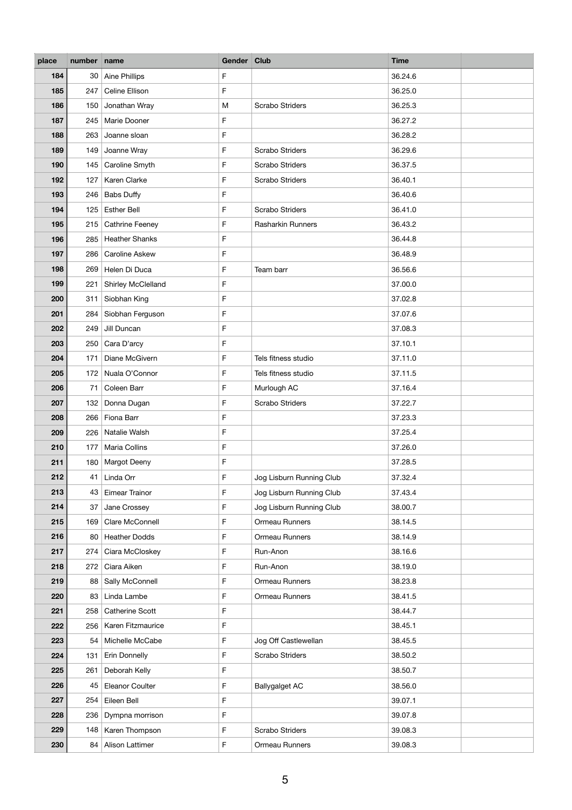| place      | number name |                                | Gender Club                |                          | <b>Time</b>        |
|------------|-------------|--------------------------------|----------------------------|--------------------------|--------------------|
| 184        |             | 30 Aine Phillips               | $\mathsf F$                |                          | 36.24.6            |
| 185        | 247         | Celine Ellison                 | $\mathsf F$                |                          | 36.25.0            |
| 186        | 150         | Jonathan Wray                  | M                          | <b>Scrabo Striders</b>   | 36.25.3            |
| 187        | 245         | Marie Dooner                   | $\mathsf F$                |                          | 36.27.2            |
| 188        | 263         | Joanne sloan                   | $\mathsf F$                |                          | 36.28.2            |
| 189        | 149         | Joanne Wray                    | $\mathsf F$                | <b>Scrabo Striders</b>   | 36.29.6            |
| 190        | 145         | Caroline Smyth                 | F                          | <b>Scrabo Striders</b>   | 36.37.5            |
| 192        | 127         | Karen Clarke                   | $\mathsf F$                | <b>Scrabo Striders</b>   | 36.40.1            |
| 193        | 246         | <b>Babs Duffy</b>              | $\mathsf F$                |                          | 36.40.6            |
| 194        | 125         | <b>Esther Bell</b>             | F                          | <b>Scrabo Striders</b>   | 36.41.0            |
| 195        | 215         | <b>Cathrine Feeney</b>         | $\mathsf F$                | Rasharkin Runners        | 36.43.2            |
| 196        | 285         | <b>Heather Shanks</b>          | $\mathsf F$                |                          | 36.44.8            |
| 197        | 286         | <b>Caroline Askew</b>          | $\mathsf F$                |                          | 36.48.9            |
| 198        | 269         | Helen Di Duca                  | $\mathsf F$                | Team barr                | 36.56.6            |
| 199        | 221         | Shirley McClelland             | $\mathsf F$                |                          | 37.00.0            |
| 200        | 311         | Siobhan King                   | $\mathsf F$                |                          | 37.02.8            |
| 201        | 284         | Siobhan Ferguson               | $\mathsf F$                |                          | 37.07.6            |
| 202        | 249         | Jill Duncan                    | $\mathsf F$                |                          | 37.08.3            |
| 203        | 250         | Cara D'arcy                    | $\mathsf F$                |                          | 37.10.1            |
| 204        | 171         | Diane McGivern                 | $\mathsf F$                | Tels fitness studio      | 37.11.0            |
| 205        | 172         | Nuala O'Connor                 | F                          | Tels fitness studio      | 37.11.5            |
| 206        | 71          | Coleen Barr                    | F                          | Murlough AC              | 37.16.4            |
| 207        | 132         | Donna Dugan                    | F                          | <b>Scrabo Striders</b>   | 37.22.7            |
| 208        |             | 266 Fiona Barr                 | $\mathsf F$                |                          | 37.23.3            |
| 209        | 226         | Natalie Walsh                  | F                          |                          | 37.25.4            |
| 210        | 177         | <b>Maria Collins</b>           | $\mathsf F$                |                          | 37.26.0            |
| 211        | 180         | Margot Deeny                   | $\mathsf F$                |                          | 37.28.5            |
| 212        | 41          | Linda Orr                      | $\mathsf F$                | Jog Lisburn Running Club | 37.32.4            |
| 213        | 43          | Eimear Trainor                 | $\mathsf F$                | Jog Lisburn Running Club | 37.43.4            |
| 214        | 37          | Jane Crossey                   | $\mathsf F$                | Jog Lisburn Running Club | 38.00.7            |
| 215        | 169         | Clare McConnell                | $\mathsf F$                | Ormeau Runners           | 38.14.5            |
| 216        |             | 80 Heather Dodds               | $\mathsf F$                | Ormeau Runners           | 38.14.9            |
| 217<br>218 | 274         | Ciara McCloskey<br>Ciara Aiken | $\mathsf F$<br>$\mathsf F$ | Run-Anon<br>Run-Anon     | 38.16.6<br>38.19.0 |
| 219        | 272<br>88   | Sally McConnell                | $\mathsf F$                | Ormeau Runners           | 38.23.8            |
| 220        | 83          | Linda Lambe                    | $\mathsf F$                | Ormeau Runners           | 38.41.5            |
| 221        | 258         | Catherine Scott                | $\mathsf F$                |                          | 38.44.7            |
| 222        |             | 256   Karen Fitzmaurice        | $\mathsf F$                |                          | 38.45.1            |
| 223        | 54          | Michelle McCabe                | $\mathsf F$                | Jog Off Castlewellan     | 38.45.5            |
| 224        | 131         | Erin Donnelly                  | $\mathsf F$                | <b>Scrabo Striders</b>   | 38.50.2            |
| 225        | 261         | Deborah Kelly                  | $\mathsf F$                |                          | 38.50.7            |
| 226        | 45          | Eleanor Coulter                | F                          | <b>Ballygalget AC</b>    | 38.56.0            |
| 227        | 254         | Eileen Bell                    | $\mathsf F$                |                          | 39.07.1            |
| 228        |             | 236 Dympna morrison            | $\mathsf F$                |                          | 39.07.8            |
| 229        | 148         | Karen Thompson                 | $\mathsf F$                | <b>Scrabo Striders</b>   | 39.08.3            |
| 230        |             | 84 Alison Lattimer             | $\mathsf F$                | Ormeau Runners           | 39.08.3            |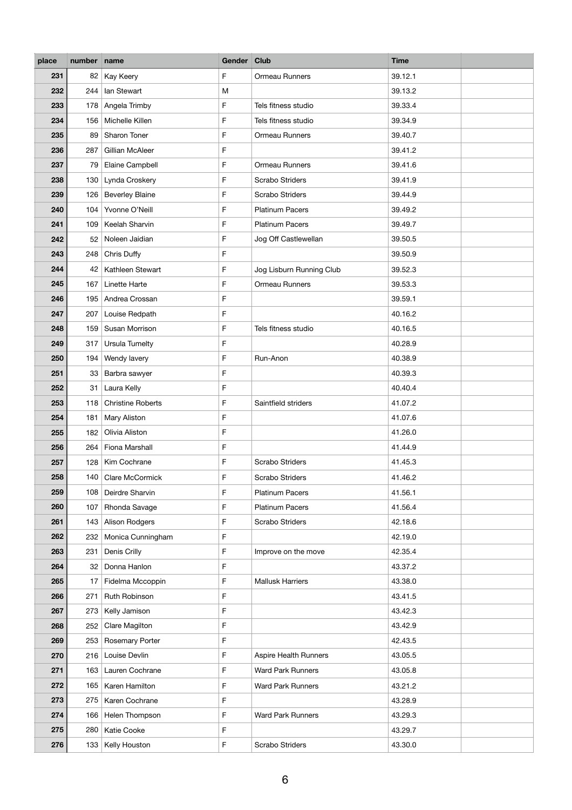| place      | number name |                                   | Gender Club                |                              | <b>Time</b>        |
|------------|-------------|-----------------------------------|----------------------------|------------------------------|--------------------|
| 231        | 82          | Kay Keery                         | F                          | Ormeau Runners               | 39.12.1            |
| 232        | 244         | lan Stewart                       | M                          |                              | 39.13.2            |
| 233        |             | 178 Angela Trimby                 | $\mathsf F$                | Tels fitness studio          | 39.33.4            |
| 234        | 156         | Michelle Killen                   | F                          | Tels fitness studio          | 39.34.9            |
| 235        | 89          | Sharon Toner                      | $\mathsf{F}$               | Ormeau Runners               | 39.40.7            |
| 236        | 287         | Gillian McAleer                   | $\mathsf F$                |                              | 39.41.2            |
| 237        | 79          | Elaine Campbell                   | F                          | Ormeau Runners               | 39.41.6            |
| 238        | 130         | Lynda Croskery                    | $\mathsf F$                | Scrabo Striders              | 39.41.9            |
| 239        | 126         | <b>Beverley Blaine</b>            | $\mathsf{F}$               | Scrabo Striders              | 39.44.9            |
| 240        | 104         | Yvonne O'Neill                    | F                          | <b>Platinum Pacers</b>       | 39.49.2            |
| 241        | 109         | Keelah Sharvin                    | $\mathsf F$                | <b>Platinum Pacers</b>       | 39.49.7            |
| 242        | 52          | Noleen Jaidian                    | $\mathsf F$                | Jog Off Castlewellan         | 39.50.5            |
| 243        | 248         | Chris Duffy                       | $\mathsf F$                |                              | 39.50.9            |
| 244        | 42          | Kathleen Stewart                  | $\mathsf F$                | Jog Lisburn Running Club     | 39.52.3            |
| 245        | 167         | Linette Harte                     | $\mathsf F$                | Ormeau Runners               | 39.53.3            |
| 246        | 195         | Andrea Crossan                    | $\mathsf F$                |                              | 39.59.1            |
| 247        | 207         | Louise Redpath                    | $\mathsf F$                |                              | 40.16.2            |
| 248        | 159         | Susan Morrison                    | $\mathsf F$                | Tels fitness studio          | 40.16.5            |
| 249        | 317         | <b>Ursula Tumelty</b>             | $\mathsf F$                |                              | 40.28.9            |
| 250        | 194         | Wendy lavery                      | $\mathsf F$                | Run-Anon                     | 40.38.9            |
| 251        | 33          | Barbra sawyer                     | $\mathsf F$                |                              | 40.39.3            |
| 252        | 31          | Laura Kelly                       | F                          |                              | 40.40.4            |
| 253        | 118         | <b>Christine Roberts</b>          | $\mathsf F$                | Saintfield striders          | 41.07.2            |
| 254        | 181         | Mary Aliston                      | F                          |                              | 41.07.6            |
| 255        | 182         | Olivia Aliston                    | $\mathsf F$                |                              | 41.26.0            |
| 256        | 264         | Fiona Marshall                    | $\mathsf F$                |                              | 41.44.9            |
| 257        | 128         | Kim Cochrane                      | F                          | <b>Scrabo Striders</b>       | 41.45.3            |
| 258        | 140         | <b>Clare McCormick</b>            | $\mathsf{F}$               | Scrabo Striders              | 41.46.2            |
| 259        | 108         | Deirdre Sharvin                   | $\mathsf F$                | <b>Platinum Pacers</b>       | 41.56.1            |
| 260        | 107         | Rhonda Savage                     | F                          | <b>Platinum Pacers</b>       | 41.56.4            |
| 261        | 143         | Alison Rodgers                    | $\mathsf F$                | <b>Scrabo Striders</b>       | 42.18.6            |
| 262<br>263 | 232<br>231  | Monica Cunningham<br>Denis Crilly | $\mathsf F$<br>$\mathsf F$ | Improve on the move          | 42.19.0<br>42.35.4 |
| 264        | 32          | Donna Hanlon                      | $\mathsf F$                |                              | 43.37.2            |
| 265        | 17          | Fidelma Mccoppin                  | $\mathsf F$                | <b>Mallusk Harriers</b>      | 43.38.0            |
| 266        | 271         | <b>Ruth Robinson</b>              | $\mathsf F$                |                              | 43.41.5            |
| 267        | 273         | Kelly Jamison                     | $\mathsf F$                |                              | 43.42.3            |
| 268        | 252         | Clare Magilton                    | $\mathsf F$                |                              | 43.42.9            |
| 269        | 253         | <b>Rosemary Porter</b>            | $\mathsf F$                |                              | 42.43.5            |
| 270        | 216         | Louise Devlin                     | $\mathsf F$                | <b>Aspire Health Runners</b> | 43.05.5            |
| 271        | 163         | Lauren Cochrane                   | $\mathsf F$                | <b>Ward Park Runners</b>     | 43.05.8            |
| 272        | 165         | Karen Hamilton                    | $\mathsf F$                | <b>Ward Park Runners</b>     | 43.21.2            |
| 273        | 275         | Karen Cochrane                    | $\mathsf F$                |                              | 43.28.9            |
| 274        |             | 166   Helen Thompson              | F                          | <b>Ward Park Runners</b>     | 43.29.3            |
| 275        | 280         | Katie Cooke                       | $\mathsf F$                |                              | 43.29.7            |
| 276        | 133         | Kelly Houston                     | $\mathsf F$                | Scrabo Striders              | 43.30.0            |